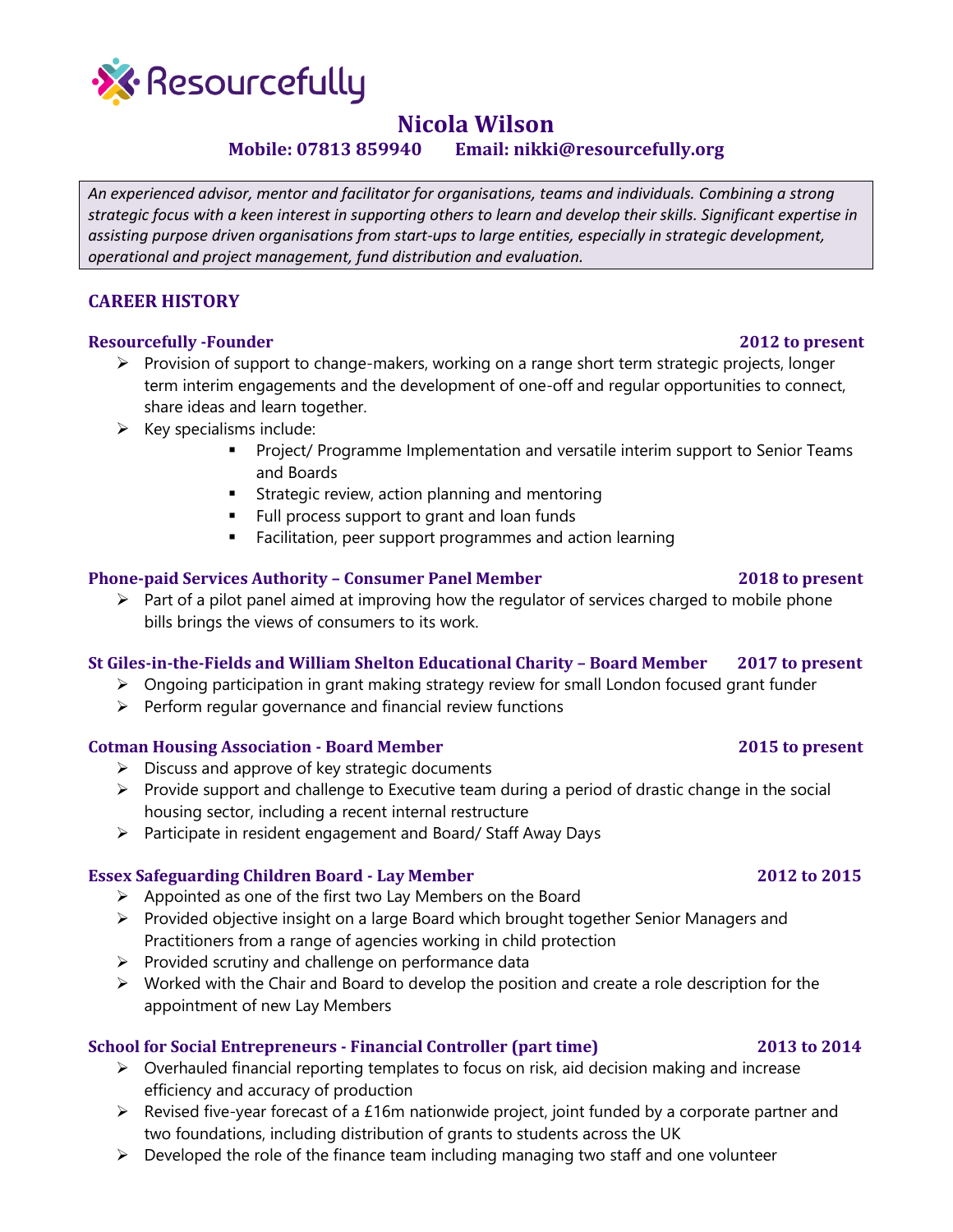

# **Nicola Wilson**

**Mobile: 07813 859940 Email: nikki@resourcefully.org**

*An experienced advisor, mentor and facilitator for organisations, teams and individuals. Combining a strong strategic focus with a keen interest in supporting others to learn and develop their skills. Significant expertise in assisting purpose driven organisations from start-ups to large entities, especially in strategic development, operational and project management, fund distribution and evaluation.*

# **CAREER HISTORY**

# **Resourcefully -Founder 2012 to present**

- $\triangleright$  Provision of support to change-makers, working on a range short term strategic projects, longer term interim engagements and the development of one-off and regular opportunities to connect, share ideas and learn together.
- $\triangleright$  Key specialisms include:
	- **•** Project/ Programme Implementation and versatile interim support to Senior Teams and Boards
	- **EXTENDITION STRATE STRATE STATES IS STATE**
	- Full process support to grant and loan funds
	- Facilitation, peer support programmes and action learning

### **Phone-paid Services Authority – Consumer Panel Member 2018 to present**

➢ Part of a pilot panel aimed at improving how the regulator of services charged to mobile phone bills brings the views of consumers to its work.

# **St Giles-in-the-Fields and William Shelton Educational Charity – Board Member 2017 to present**

- ➢ Ongoing participation in grant making strategy review for small London focused grant funder
- $\triangleright$  Perform regular governance and financial review functions

### **Cotman Housing Association - Board Member 2015 to present**

- $\triangleright$  Discuss and approve of key strategic documents
- $\triangleright$  Provide support and challenge to Executive team during a period of drastic change in the social housing sector, including a recent internal restructure
- ➢ Participate in resident engagement and Board/ Staff Away Days

### **Essex Safeguarding Children Board - Lay Member 2012 to 2015**

- $\triangleright$  Appointed as one of the first two Lay Members on the Board
- ➢ Provided objective insight on a large Board which brought together Senior Managers and Practitioners from a range of agencies working in child protection
- $\triangleright$  Provided scrutiny and challenge on performance data
- ➢ Worked with the Chair and Board to develop the position and create a role description for the appointment of new Lay Members

### **School for Social Entrepreneurs - Financial Controller (part time) 2013 to 2014**

- ➢ Overhauled financial reporting templates to focus on risk, aid decision making and increase efficiency and accuracy of production
- ➢ Revised five-year forecast of a £16m nationwide project, joint funded by a corporate partner and two foundations, including distribution of grants to students across the UK
- $\triangleright$  Developed the role of the finance team including managing two staff and one volunteer